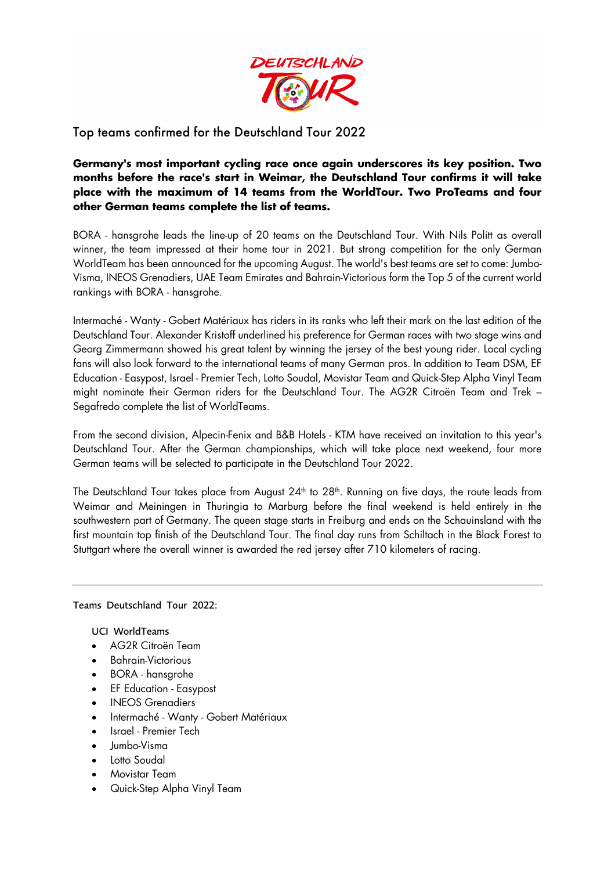

Top teams confirmed for the Deutschland Tour 2022

**Germany's most important cycling race once again underscores its key position. Two months before the race's start in Weimar, the Deutschland Tour confirms it will take place with the maximum of 14 teams from the WorldTour. Two ProTeams and four other German teams complete the list of teams.**

BORA - hansgrohe leads the line-up of 20 teams on the Deutschland Tour. With Nils Politt as overall winner, the team impressed at their home tour in 2021. But strong competition for the only German WorldTeam has been announced for the upcoming August. The world's best teams are set to come: Jumbo-Visma, INEOS Grenadiers, UAE Team Emirates and Bahrain-Victorious form the Top 5 of the current world rankings with BORA - hansgrohe.

Intermaché - Wanty - Gobert Matériaux has riders in its ranks who left their mark on the last edition of the Deutschland Tour. Alexander Kristoff underlined his preference for German races with two stage wins and Georg Zimmermann showed his great talent by winning the jersey of the best young rider. Local cycling fans will also look forward to the international teams of many German pros. In addition to Team DSM, EF Education - Easypost, Israel - Premier Tech, Lotto Soudal, Movistar Team and Quick-Step Alpha Vinyl Team might nominate their German riders for the Deutschland Tour. The AG2R Citroën Team and Trek – Segafredo complete the list of WorldTeams.

From the second division, Alpecin-Fenix and B&B Hotels - KTM have received an invitation to this year's Deutschland Tour. After the German championships, which will take place next weekend, four more German teams will be selected to participate in the Deutschland Tour 2022.

The Deutschland Tour takes place from August 24<sup>th</sup> to 28<sup>th</sup>. Running on five days, the route leads from Weimar and Meiningen in Thuringia to Marburg before the final weekend is held entirely in the southwestern part of Germany. The queen stage starts in Freiburg and ends on the Schauinsland with the first mountain top finish of the Deutschland Tour. The final day runs from Schiltach in the Black Forest to Stuttgart where the overall winner is awarded the red jersey after 710 kilometers of racing.

Teams Deutschland Tour 2022:

UCI WorldTeams

- AG2R Citroën Team
- Bahrain-Victorious
- BORA hansgrohe
- EF Education Easypost
- INEOS Grenadiers
- Intermaché Wanty Gobert Matériaux
- Israel Premier Tech
- Jumbo-Visma
- Lotto Soudal
- Movistar Team
- Quick-Step Alpha Vinyl Team